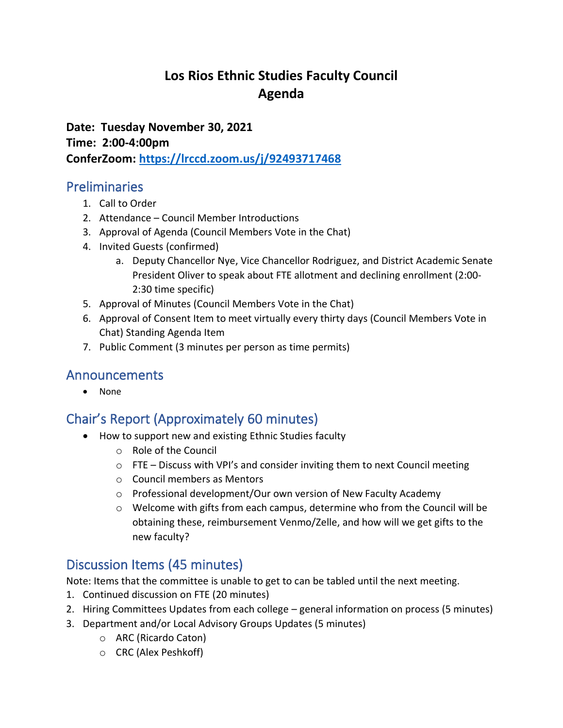# **Los Rios Ethnic Studies Faculty Council Agenda**

**Date: Tuesday November 30, 2021 Time: 2:00-4:00pm ConferZoom:<https://lrccd.zoom.us/j/92493717468>**

## Preliminaries

- 1. Call to Order
- 2. Attendance Council Member Introductions
- 3. Approval of Agenda (Council Members Vote in the Chat)
- 4. Invited Guests (confirmed)
	- a. Deputy Chancellor Nye, Vice Chancellor Rodriguez, and District Academic Senate President Oliver to speak about FTE allotment and declining enrollment (2:00- 2:30 time specific)
- 5. Approval of Minutes (Council Members Vote in the Chat)
- 6. Approval of Consent Item to meet virtually every thirty days (Council Members Vote in Chat) Standing Agenda Item
- 7. Public Comment (3 minutes per person as time permits)

## Announcements

• None

# Chair's Report (Approximately 60 minutes)

- How to support new and existing Ethnic Studies faculty
	- o Role of the Council
	- o FTE Discuss with VPI's and consider inviting them to next Council meeting
	- o Council members as Mentors
	- o Professional development/Our own version of New Faculty Academy
	- o Welcome with gifts from each campus, determine who from the Council will be obtaining these, reimbursement Venmo/Zelle, and how will we get gifts to the new faculty?

## Discussion Items (45 minutes)

Note: Items that the committee is unable to get to can be tabled until the next meeting.

- 1. Continued discussion on FTE (20 minutes)
- 2. Hiring Committees Updates from each college general information on process (5 minutes)
- 3. Department and/or Local Advisory Groups Updates (5 minutes)
	- o ARC (Ricardo Caton)
	- o CRC (Alex Peshkoff)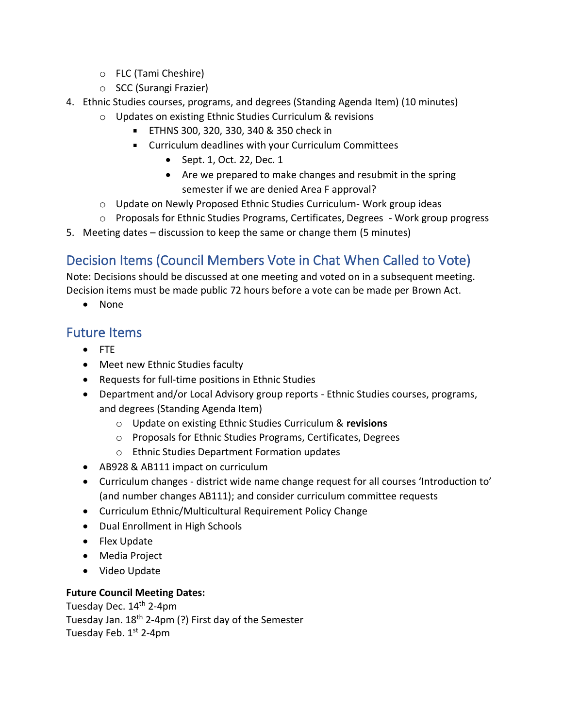- o FLC (Tami Cheshire)
- o SCC (Surangi Frazier)
- 4. Ethnic Studies courses, programs, and degrees (Standing Agenda Item) (10 minutes)
	- o Updates on existing Ethnic Studies Curriculum & revisions
		- ETHNS 300, 320, 330, 340 & 350 check in
		- Curriculum deadlines with your Curriculum Committees
			- Sept. 1, Oct. 22, Dec. 1
			- Are we prepared to make changes and resubmit in the spring semester if we are denied Area F approval?
	- o Update on Newly Proposed Ethnic Studies Curriculum- Work group ideas
	- o Proposals for Ethnic Studies Programs, Certificates, Degrees Work group progress
- 5. Meeting dates discussion to keep the same or change them (5 minutes)

# Decision Items (Council Members Vote in Chat When Called to Vote)

Note: Decisions should be discussed at one meeting and voted on in a subsequent meeting. Decision items must be made public 72 hours before a vote can be made per Brown Act.

• None

## Future Items

- FTE
- Meet new Ethnic Studies faculty
- Requests for full-time positions in Ethnic Studies
- Department and/or Local Advisory group reports Ethnic Studies courses, programs, and degrees (Standing Agenda Item)
	- o Update on existing Ethnic Studies Curriculum & **revisions**
	- o Proposals for Ethnic Studies Programs, Certificates, Degrees
	- o Ethnic Studies Department Formation updates
- AB928 & AB111 impact on curriculum
- Curriculum changes district wide name change request for all courses 'Introduction to' (and number changes AB111); and consider curriculum committee requests
- Curriculum Ethnic/Multicultural Requirement Policy Change
- Dual Enrollment in High Schools
- Flex Update
- Media Project
- Video Update

#### **Future Council Meeting Dates:**

Tuesday Dec. 14<sup>th</sup> 2-4pm Tuesday Jan.  $18<sup>th</sup>$  2-4pm (?) First day of the Semester Tuesday Feb.  $1<sup>st</sup>$  2-4pm